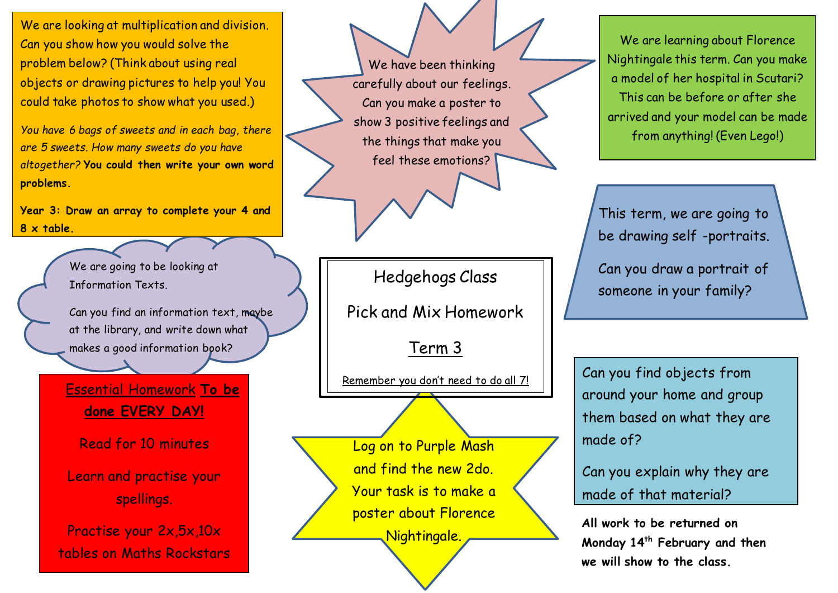We are looking at multiplication and division. Can you show how you would solve the problem below? (Think about using real objects or drawing pictures to help you! You could take photos to show what you used.)

*You have 6 bags of sweets and in each bag, there are 5 sweets. How many sweets do you have altogether?* **You could then write your own word problems.**

r **8 x table. Year 3: Draw an array to complete your 4 and** 

> We are going to be looking at Information Texts.

Can you find an information text, maybe at the library, and write down what makes a good information book?

 Essential Homework **To be done EVERY DAY!**

Read for 10 minutes

Learn and practise your spellings.

Practise your 2x,5x,10x tables on Maths Rockstars

We have been thinking carefully about our feelings. Can you make a poster to show 3 positive feelings and the things that make you feel these emotions?

Hedgehogs Class

Pick and Mix Homework

Term 3

Remember you don't need to do all 7!

Log on to Purple Mash and find the new 2do. Your task is to make a poster about Florence Nightingale.

We are learning about Florence Nightingale this term. Can you make a model of her hospital in Scutari? This can be before or after she arrived and your model can be made from anything! (Even Lego!)

This term, we are going to be drawing self -portraits.

Can you draw a portrait of someone in your family?

Can you find objects from around your home and group them based on what they are made of?

Can you explain why they are made of that material?

**All work to be returned on Monday 14th February and then we will show to the class.**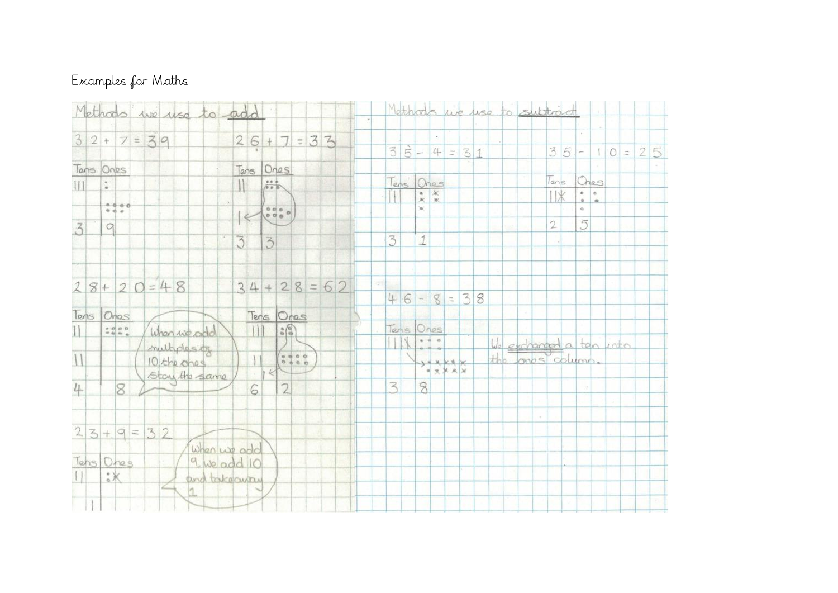## Examples for Maths

| Methods we use to add                                                                                         |                                                                                                        | Mothods we use to subtract                                                                                            |
|---------------------------------------------------------------------------------------------------------------|--------------------------------------------------------------------------------------------------------|-----------------------------------------------------------------------------------------------------------------------|
| $32+7=39$                                                                                                     | $26 + 7 = 33$                                                                                          | $35 - 4 = 31$<br>$35 - 10 = 25$                                                                                       |
| Tans Ones<br>                                                                                                 | Tens Ones<br>700<br>$\mathbb{H}$                                                                       | Ones<br>Tans<br>Tens Ones<br>$x \times$<br>11米<br>$\begin{array}{c c} \bullet & \circ \\ \bullet & \circ \end{array}$ |
| 5000<br>3<br>$\alpha$                                                                                         | $\begin{pmatrix} 0 & 0 & 0 \\ 0 & 0 & 0 \\ 0 & 0 & 0 \end{pmatrix}$<br>$\overline{3}$<br>3             | $\overline{2}$<br>$\overline{5}$<br>3<br>1                                                                            |
| $28+20=48$                                                                                                    | -211<br>$34 + 28 = 62$                                                                                 | $46 - 8 = 38$                                                                                                         |
| Tens<br>Ones<br>$\mathcal{L}$<br>$-000$<br>When we odd<br>multiplesion                                        | Tens Ores<br>$\frac{1}{9}$                                                                             | Tens Ones<br>We exchanged a ten into<br>   <br>$\cdot$ :                                                              |
| $\frac{1}{2}$<br>10 the ones<br>Stay the same.<br>4<br>8                                                      | $\begin{pmatrix} 0 & 0 & 0 & 0 \\ 0 & 0 & 0 & 0 \\ 0 & 0 & 0 & 0 \end{pmatrix}$<br>6<br>$\overline{2}$ | the ones column.<br>yexkxx<br>$\mathbf{e} \times \mathbf{A} \times \mathbf{A}$<br>$\overline{\mathcal{E}}$<br>8       |
| $23 + 9 = 32$                                                                                                 |                                                                                                        |                                                                                                                       |
| When we add<br>Tens Ones<br>9 we add 10<br>$\vert \vert$<br>$\mathbb{X}^{\circ}_{\circ}$<br>and takeoway<br>1 |                                                                                                        |                                                                                                                       |